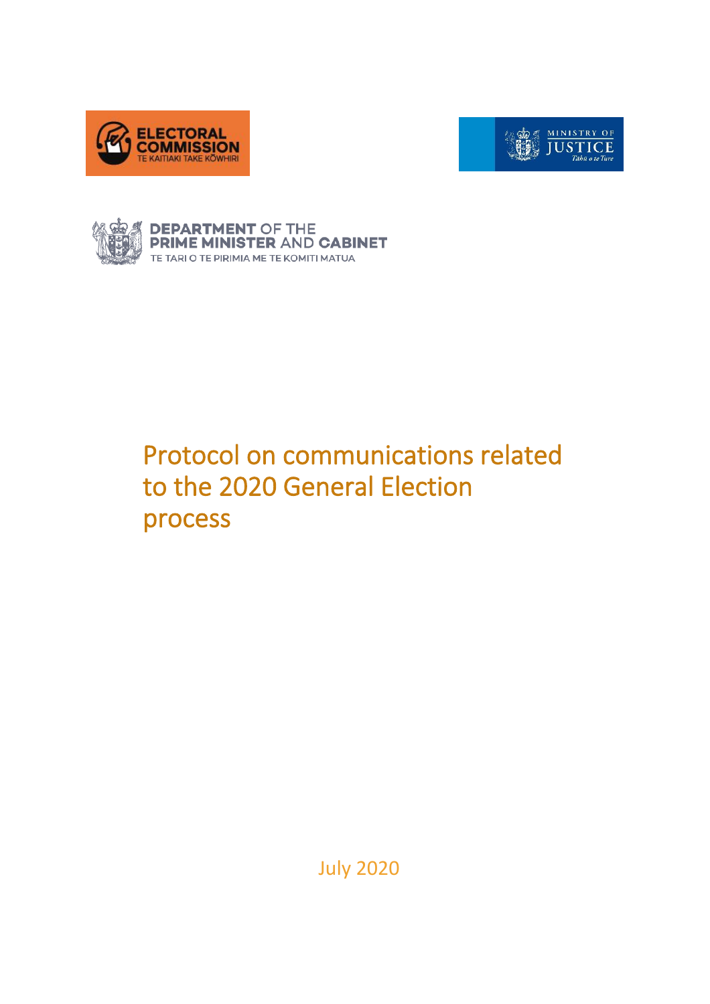





# Protocol on communications related to the 2020 General Election process

July 2020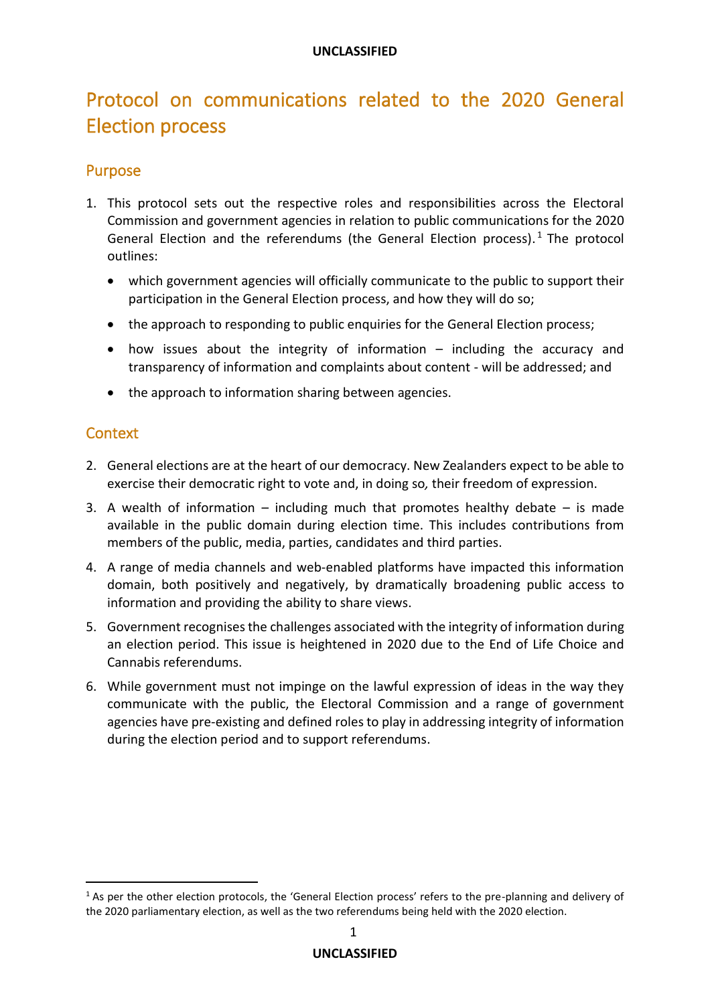# Protocol on communications related to the 2020 General Election process

#### Purpose

- 1. This protocol sets out the respective roles and responsibilities across the Electoral Commission and government agencies in relation to public communications for the 2020 General Election and the referendums (the General Election process).<sup>1</sup> The protocol outlines:
	- which government agencies will officially communicate to the public to support their participation in the General Election process, and how they will do so;
	- the approach to responding to public enquiries for the General Election process;
	- how issues about the integrity of information including the accuracy and transparency of information and complaints about content - will be addressed; and
	- the approach to information sharing between agencies.

#### **Context**

- 2. General elections are at the heart of our democracy. New Zealanders expect to be able to exercise their democratic right to vote and, in doing so*,* their freedom of expression.
- 3. A wealth of information including much that promotes healthy debate is made available in the public domain during election time. This includes contributions from members of the public, media, parties, candidates and third parties.
- 4. A range of media channels and web-enabled platforms have impacted this information domain, both positively and negatively, by dramatically broadening public access to information and providing the ability to share views.
- 5. Government recognises the challenges associated with the integrity of information during an election period. This issue is heightened in 2020 due to the End of Life Choice and Cannabis referendums.
- 6. While government must not impinge on the lawful expression of ideas in the way they communicate with the public, the Electoral Commission and a range of government agencies have pre-existing and defined roles to play in addressing integrity of information during the election period and to support referendums.

 $1$  As per the other election protocols, the 'General Election process' refers to the pre-planning and delivery of the 2020 parliamentary election, as well as the two referendums being held with the 2020 election.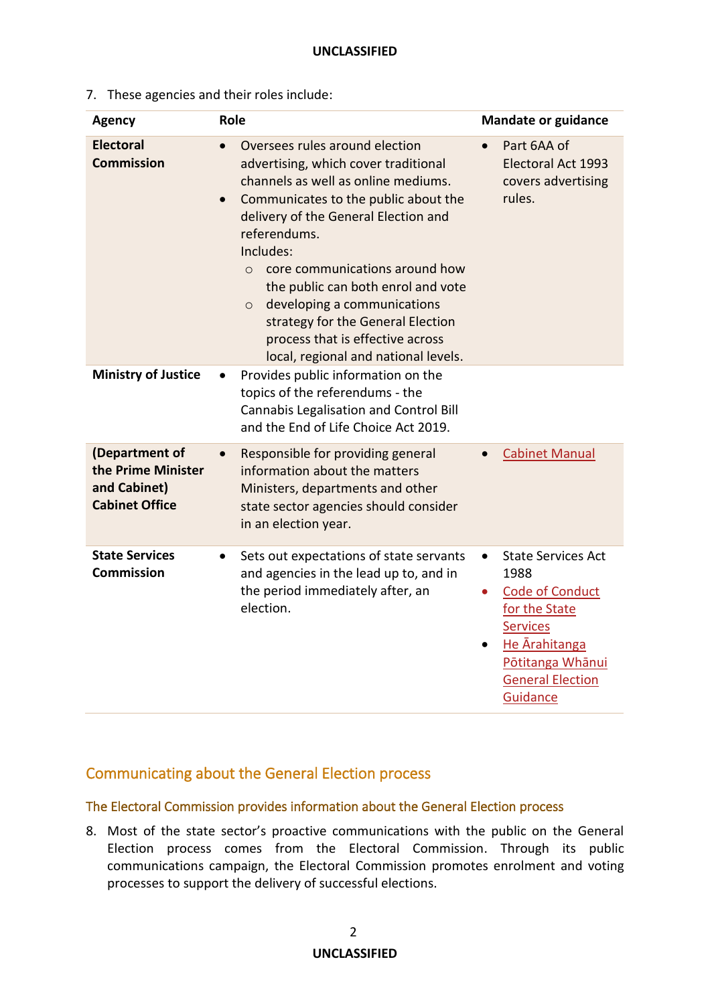7. These agencies and their roles include:

| <b>Agency</b>                                                                 | Role                                                                                                                                                                                                                                                                                                                                                                                                                                                                                   | <b>Mandate or guidance</b>                                                                                                                                                                            |
|-------------------------------------------------------------------------------|----------------------------------------------------------------------------------------------------------------------------------------------------------------------------------------------------------------------------------------------------------------------------------------------------------------------------------------------------------------------------------------------------------------------------------------------------------------------------------------|-------------------------------------------------------------------------------------------------------------------------------------------------------------------------------------------------------|
| <b>Electoral</b><br><b>Commission</b>                                         | Oversees rules around election<br>advertising, which cover traditional<br>channels as well as online mediums.<br>Communicates to the public about the<br>$\bullet$<br>delivery of the General Election and<br>referendums.<br>Includes:<br>core communications around how<br>$\Omega$<br>the public can both enrol and vote<br>developing a communications<br>$\circ$<br>strategy for the General Election<br>process that is effective across<br>local, regional and national levels. | Part 6AA of<br><b>Electoral Act 1993</b><br>covers advertising<br>rules.                                                                                                                              |
| <b>Ministry of Justice</b>                                                    | Provides public information on the<br>topics of the referendums - the<br>Cannabis Legalisation and Control Bill<br>and the End of Life Choice Act 2019.                                                                                                                                                                                                                                                                                                                                |                                                                                                                                                                                                       |
| (Department of<br>the Prime Minister<br>and Cabinet)<br><b>Cabinet Office</b> | Responsible for providing general<br>information about the matters<br>Ministers, departments and other<br>state sector agencies should consider<br>in an election year.                                                                                                                                                                                                                                                                                                                | <b>Cabinet Manual</b>                                                                                                                                                                                 |
| <b>State Services</b><br><b>Commission</b>                                    | Sets out expectations of state servants<br>$\bullet$<br>and agencies in the lead up to, and in<br>the period immediately after, an<br>election.                                                                                                                                                                                                                                                                                                                                        | <b>State Services Act</b><br>$\bullet$<br>1988<br><b>Code of Conduct</b><br>for the State<br><b>Services</b><br>He Arahitanga<br>$\bullet$<br>Pōtitanga Whānui<br><b>General Election</b><br>Guidance |

# Communicating about the General Election process

#### The Electoral Commission provides information about the General Election process

8. Most of the state sector's proactive communications with the public on the General Election process comes from the Electoral Commission. Through its public communications campaign, the Electoral Commission promotes enrolment and voting processes to support the delivery of successful elections.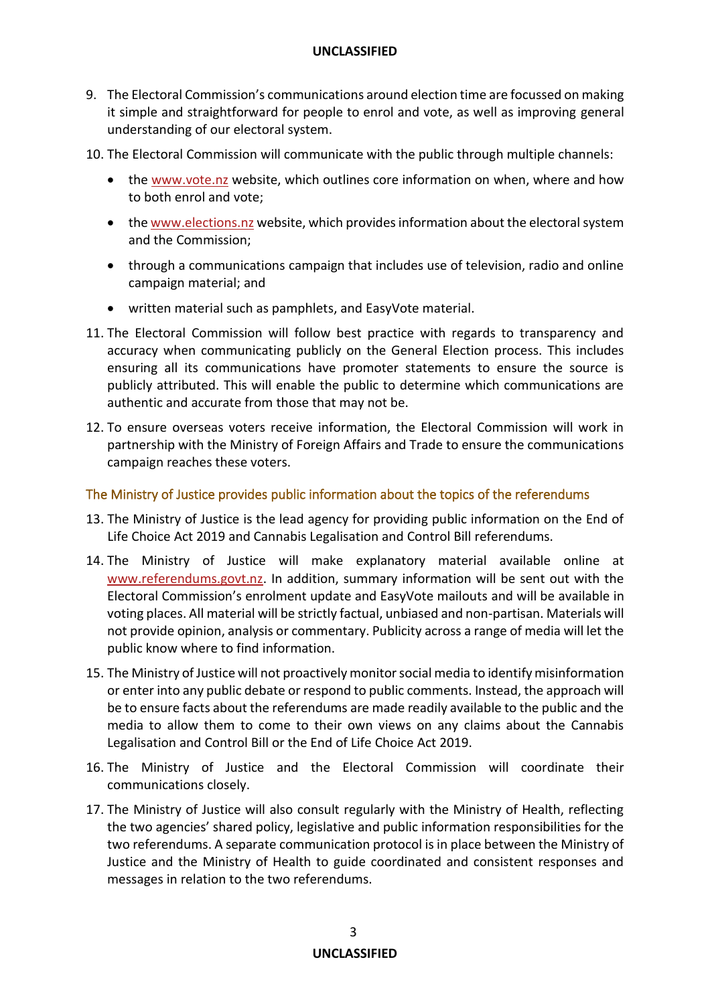- 9. The Electoral Commission's communications around election time are focussed on making it simple and straightforward for people to enrol and vote, as well as improving general understanding of our electoral system.
- 10. The Electoral Commission will communicate with the public through multiple channels:
	- the [www.vote.nz](https://vote.nz/) website, which outlines core information on when, where and how to both enrol and vote;
	- th[e www.elections.nz](https://elections.nz/) website, which provides information about the electoral system and the Commission;
	- through a communications campaign that includes use of television, radio and online campaign material; and
	- written material such as pamphlets, and EasyVote material.
- 11. The Electoral Commission will follow best practice with regards to transparency and accuracy when communicating publicly on the General Election process. This includes ensuring all its communications have promoter statements to ensure the source is publicly attributed. This will enable the public to determine which communications are authentic and accurate from those that may not be.
- 12. To ensure overseas voters receive information, the Electoral Commission will work in partnership with the Ministry of Foreign Affairs and Trade to ensure the communications campaign reaches these voters.

#### The Ministry of Justice provides public information about the topics of the referendums

- 13. The Ministry of Justice is the lead agency for providing public information on the End of Life Choice Act 2019 and Cannabis Legalisation and Control Bill referendums.
- 14. The Ministry of Justice will make explanatory material available online at [www.referendums.govt.nz.](http://www.referendums.govt.nz/) In addition, summary information will be sent out with the Electoral Commission's enrolment update and EasyVote mailouts and will be available in voting places. All material will be strictly factual, unbiased and non-partisan. Materials will not provide opinion, analysis or commentary. Publicity across a range of media will let the public know where to find information.
- 15. The Ministry of Justice will not proactively monitor social media to identify misinformation or enter into any public debate or respond to public comments. Instead, the approach will be to ensure facts about the referendums are made readily available to the public and the media to allow them to come to their own views on any claims about the Cannabis Legalisation and Control Bill or the End of Life Choice Act 2019.
- 16. The Ministry of Justice and the Electoral Commission will coordinate their communications closely.
- 17. The Ministry of Justice will also consult regularly with the Ministry of Health, reflecting the two agencies' shared policy, legislative and public information responsibilities for the two referendums. A separate communication protocol is in place between the Ministry of Justice and the Ministry of Health to guide coordinated and consistent responses and messages in relation to the two referendums.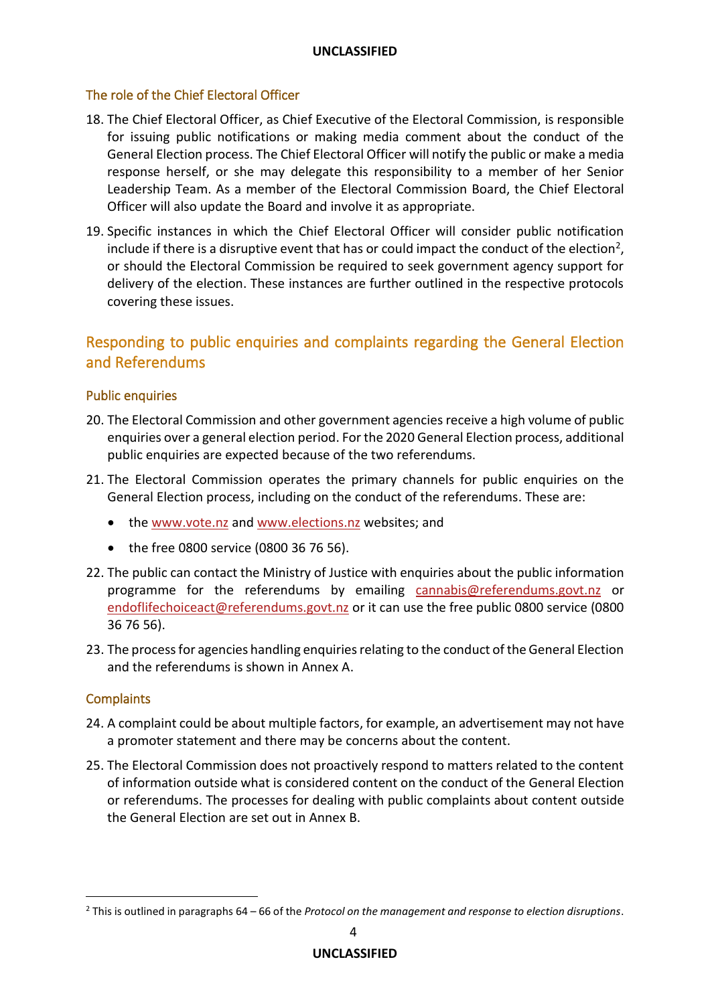#### The role of the Chief Electoral Officer

- 18. The Chief Electoral Officer, as Chief Executive of the Electoral Commission, is responsible for issuing public notifications or making media comment about the conduct of the General Election process. The Chief Electoral Officer will notify the public or make a media response herself, or she may delegate this responsibility to a member of her Senior Leadership Team. As a member of the Electoral Commission Board, the Chief Electoral Officer will also update the Board and involve it as appropriate.
- 19. Specific instances in which the Chief Electoral Officer will consider public notification include if there is a disruptive event that has or could impact the conduct of the election<sup>2</sup>, or should the Electoral Commission be required to seek government agency support for delivery of the election. These instances are further outlined in the respective protocols covering these issues.

# Responding to public enquiries and complaints regarding the General Election and Referendums

#### Public enquiries

- 20. The Electoral Commission and other government agencies receive a high volume of public enquiries over a general election period. Forthe 2020 General Election process, additional public enquiries are expected because of the two referendums.
- 21. The Electoral Commission operates the primary channels for public enquiries on the General Election process, including on the conduct of the referendums. These are:
	- the [www.vote.nz](http://www.vote.nz/) and [www.elections.nz](http://www.elections.nz/) websites; and
	- the free 0800 service (0800 36 76 56).
- 22. The public can contact the Ministry of Justice with enquiries about the public information programme for the referendums by emailing [cannabis@referendums.govt.nz](mailto:cannabis@referendums.govt.nz) or [endoflifechoiceact@referendums.govt.nz](mailto:endoflifechoiceact@referendums.govt.nz) or it can use the free public 0800 service (0800 36 76 56).
- 23. The process for agencies handling enquiries relating to the conduct of the General Election and the referendums is shown in Annex A.

#### **Complaints**

- 24. A complaint could be about multiple factors, for example, an advertisement may not have a promoter statement and there may be concerns about the content.
- 25. The Electoral Commission does not proactively respond to matters related to the content of information outside what is considered content on the conduct of the General Election or referendums. The processes for dealing with public complaints about content outside the General Election are set out in Annex B.

<sup>2</sup> This is outlined in paragraphs 64 – 66 of the *Protocol on the management and response to election disruptions*.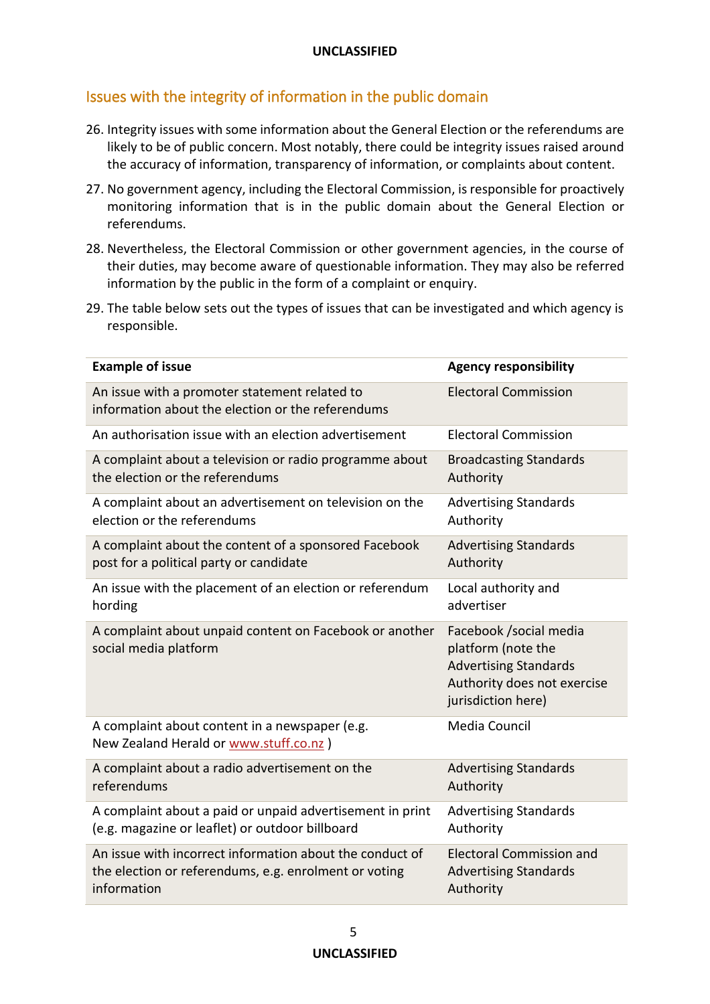# Issues with the integrity of information in the public domain

- 26. Integrity issues with some information about the General Election or the referendums are likely to be of public concern. Most notably, there could be integrity issues raised around the accuracy of information, transparency of information, or complaints about content.
- 27. No government agency, including the Electoral Commission, is responsible for proactively monitoring information that is in the public domain about the General Election or referendums.
- 28. Nevertheless, the Electoral Commission or other government agencies, in the course of their duties, may become aware of questionable information. They may also be referred information by the public in the form of a complaint or enquiry.
- 29. The table below sets out the types of issues that can be investigated and which agency is responsible.

| <b>Example of issue</b>                                                                            | <b>Agency responsibility</b>                                                                                                       |
|----------------------------------------------------------------------------------------------------|------------------------------------------------------------------------------------------------------------------------------------|
| An issue with a promoter statement related to<br>information about the election or the referendums | <b>Electoral Commission</b>                                                                                                        |
| An authorisation issue with an election advertisement                                              | <b>Electoral Commission</b>                                                                                                        |
| A complaint about a television or radio programme about                                            | <b>Broadcasting Standards</b>                                                                                                      |
| the election or the referendums                                                                    | Authority                                                                                                                          |
| A complaint about an advertisement on television on the                                            | <b>Advertising Standards</b>                                                                                                       |
| election or the referendums                                                                        | Authority                                                                                                                          |
| A complaint about the content of a sponsored Facebook                                              | <b>Advertising Standards</b>                                                                                                       |
| post for a political party or candidate                                                            | Authority                                                                                                                          |
| An issue with the placement of an election or referendum                                           | Local authority and                                                                                                                |
| hording                                                                                            | advertiser                                                                                                                         |
| A complaint about unpaid content on Facebook or another<br>social media platform                   | Facebook / social media<br>platform (note the<br><b>Advertising Standards</b><br>Authority does not exercise<br>jurisdiction here) |
| A complaint about content in a newspaper (e.g.<br>New Zealand Herald or www.stuff.co.nz )          | Media Council                                                                                                                      |
| A complaint about a radio advertisement on the                                                     | <b>Advertising Standards</b>                                                                                                       |
| referendums                                                                                        | Authority                                                                                                                          |
| A complaint about a paid or unpaid advertisement in print                                          | <b>Advertising Standards</b>                                                                                                       |
| (e.g. magazine or leaflet) or outdoor billboard                                                    | Authority                                                                                                                          |
| An issue with incorrect information about the conduct of                                           | <b>Electoral Commission and</b>                                                                                                    |
| the election or referendums, e.g. enrolment or voting                                              | <b>Advertising Standards</b>                                                                                                       |
| information                                                                                        | Authority                                                                                                                          |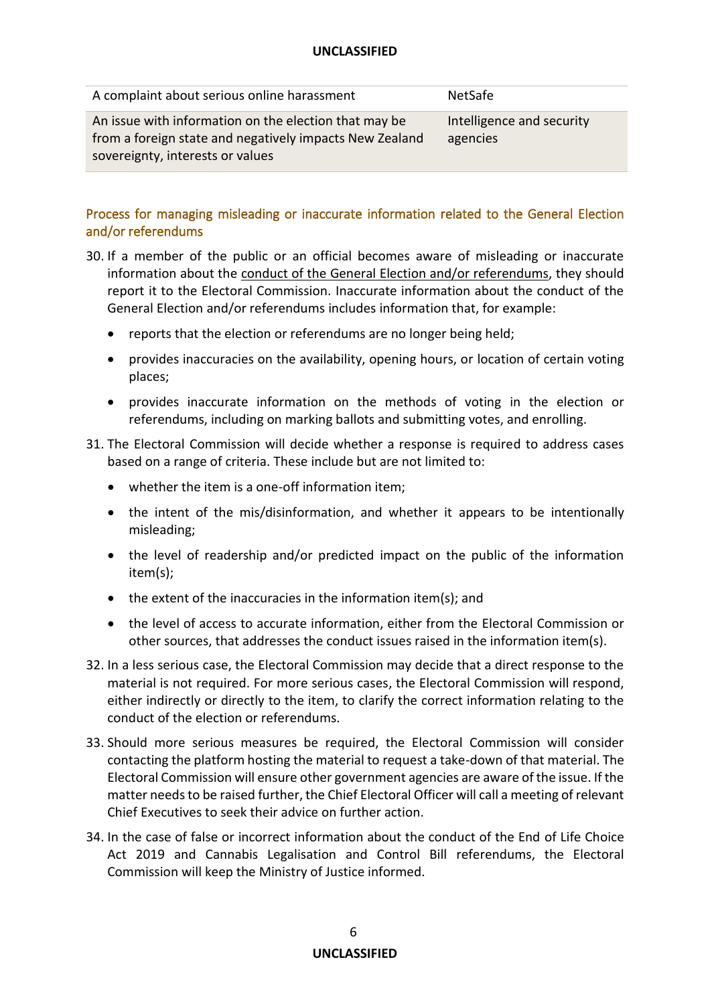| A complaint about serious online harassment                                                                                                          | NetSafe                               |
|------------------------------------------------------------------------------------------------------------------------------------------------------|---------------------------------------|
| An issue with information on the election that may be<br>from a foreign state and negatively impacts New Zealand<br>sovereignty, interests or values | Intelligence and security<br>agencies |

#### Process for managing misleading or inaccurate information related to the General Election and/or referendums

- 30. If a member of the public or an official becomes aware of misleading or inaccurate information about the conduct of the General Election and/or referendums, they should report it to the Electoral Commission. Inaccurate information about the conduct of the General Election and/or referendums includes information that, for example:
	- reports that the election or referendums are no longer being held;
	- provides inaccuracies on the availability, opening hours, or location of certain voting places;
	- provides inaccurate information on the methods of voting in the election or referendums, including on marking ballots and submitting votes, and enrolling.
- 31. The Electoral Commission will decide whether a response is required to address cases based on a range of criteria. These include but are not limited to:
	- whether the item is a one-off information item;
	- the intent of the mis/disinformation, and whether it appears to be intentionally misleading;
	- the level of readership and/or predicted impact on the public of the information item(s);
	- the extent of the inaccuracies in the information item(s); and
	- the level of access to accurate information, either from the Electoral Commission or other sources, that addresses the conduct issues raised in the information item(s).
- 32. In a less serious case, the Electoral Commission may decide that a direct response to the material is not required. For more serious cases, the Electoral Commission will respond, either indirectly or directly to the item, to clarify the correct information relating to the conduct of the election or referendums.
- 33. Should more serious measures be required, the Electoral Commission will consider contacting the platform hosting the material to request a take-down of that material. The Electoral Commission will ensure other government agencies are aware of the issue. If the matter needs to be raised further, the Chief Electoral Officer will call a meeting of relevant Chief Executives to seek their advice on further action.
- 34. In the case of false or incorrect information about the conduct of the End of Life Choice Act 2019 and Cannabis Legalisation and Control Bill referendums, the Electoral Commission will keep the Ministry of Justice informed.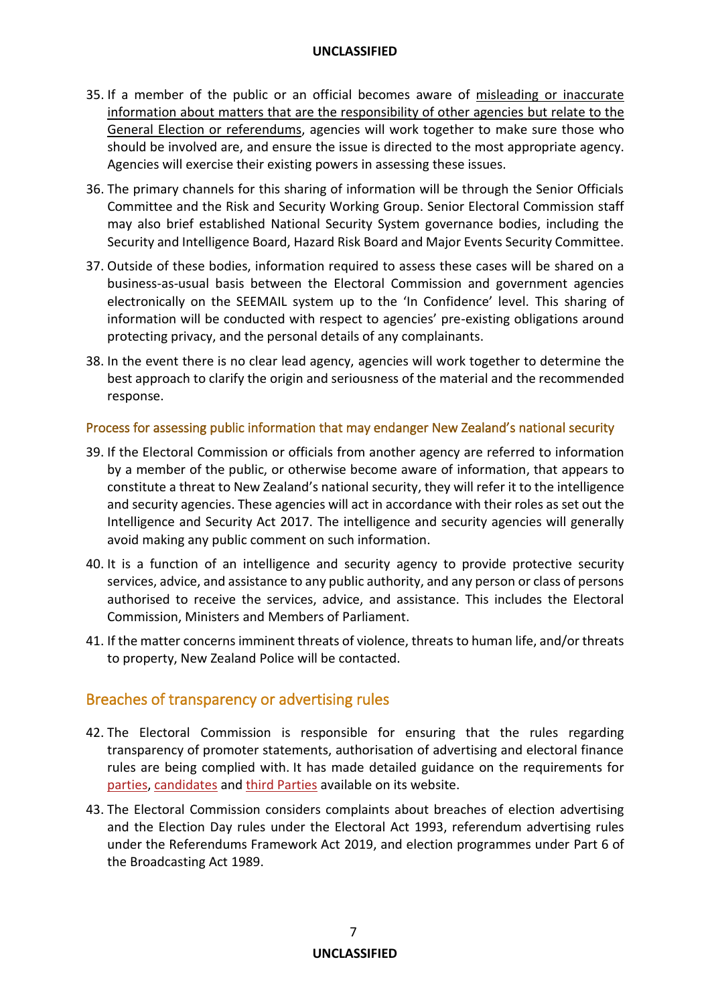- 35. If a member of the public or an official becomes aware of misleading or inaccurate information about matters that are the responsibility of other agencies but relate to the General Election or referendums, agencies will work together to make sure those who should be involved are, and ensure the issue is directed to the most appropriate agency. Agencies will exercise their existing powers in assessing these issues.
- 36. The primary channels for this sharing of information will be through the Senior Officials Committee and the Risk and Security Working Group. Senior Electoral Commission staff may also brief established National Security System governance bodies, including the Security and Intelligence Board, Hazard Risk Board and Major Events Security Committee.
- 37. Outside of these bodies, information required to assess these cases will be shared on a business-as-usual basis between the Electoral Commission and government agencies electronically on the SEEMAIL system up to the 'In Confidence' level. This sharing of information will be conducted with respect to agencies' pre-existing obligations around protecting privacy, and the personal details of any complainants.
- 38. In the event there is no clear lead agency, agencies will work together to determine the best approach to clarify the origin and seriousness of the material and the recommended response.

#### Process for assessing public information that may endanger New Zealand's national security

- 39. If the Electoral Commission or officials from another agency are referred to information by a member of the public, or otherwise become aware of information, that appears to constitute a threat to New Zealand's national security, they will refer it to the intelligence and security agencies. These agencies will act in accordance with their roles as set out the Intelligence and Security Act 2017. The intelligence and security agencies will generally avoid making any public comment on such information.
- 40. It is a function of an intelligence and security agency to provide protective security services, advice, and assistance to any public authority, and any person or class of persons authorised to receive the services, advice, and assistance. This includes the Electoral Commission, Ministers and Members of Parliament.
- 41. If the matter concerns imminent threats of violence, threats to human life, and/or threats to property, New Zealand Police will be contacted.

# Breaches of transparency or advertising rules

- 42. The Electoral Commission is responsible for ensuring that the rules regarding transparency of promoter statements, authorisation of advertising and electoral finance rules are being complied with. It has made detailed guidance on the requirements for [parties,](https://elections.nz/guidance-and-rules/for-parties/party-secretary-handbook-for-the-2020-general-election/) [candidates](https://elections.nz/guidance-and-rules/for-candidates/candidate-handbook-for-the-2020-general-election/) and [third Parties](https://elections.nz/guidance-and-rules/for-third-party-promoters/third-party-handbook-for-the-2020-general-election/) available on its website.
- 43. The Electoral Commission considers complaints about breaches of election advertising and the Election Day rules under the Electoral Act 1993, referendum advertising rules under the Referendums Framework Act 2019, and election programmes under Part 6 of the Broadcasting Act 1989.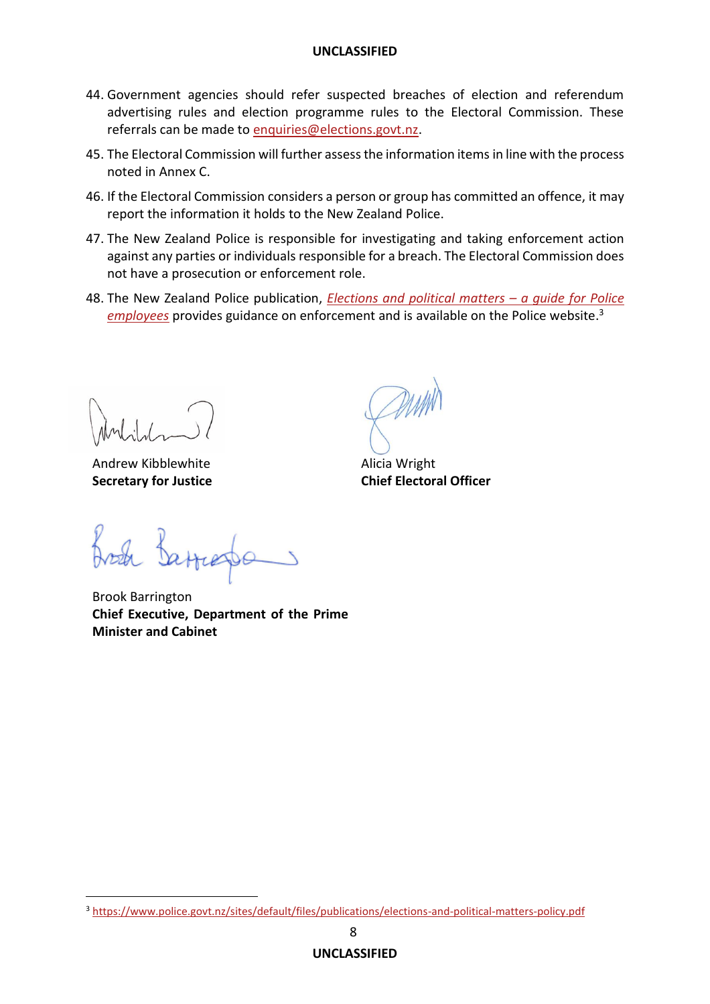- 44. Government agencies should refer suspected breaches of election and referendum advertising rules and election programme rules to the Electoral Commission. These referrals can be made to [enquiries@elections.govt.nz.](mailto:enquiries@elections.govt.nz)
- 45. The Electoral Commission will further assess the information items in line with the process noted in Annex C.
- 46. If the Electoral Commission considers a person or group has committed an offence, it may report the information it holds to the New Zealand Police.
- 47. The New Zealand Police is responsible for investigating and taking enforcement action against any parties or individuals responsible for a breach. The Electoral Commission does not have a prosecution or enforcement role.
- 48. The New Zealand Police publication, *[Elections and political matters](https://www.police.govt.nz/sites/default/files/publications/elections-and-political-matters-policy.pdf) – a guide for Police [employees](https://www.police.govt.nz/sites/default/files/publications/elections-and-political-matters-policy.pdf)* provides guidance on enforcement and is available on the Police website. 3

Andrew Kibblewhite **Secretary for Justice**

Alicia Wright **Chief Electoral Officer**

Brook Barrington **Chief Executive, Department of the Prime Minister and Cabinet**

<sup>3</sup> <https://www.police.govt.nz/sites/default/files/publications/elections-and-political-matters-policy.pdf>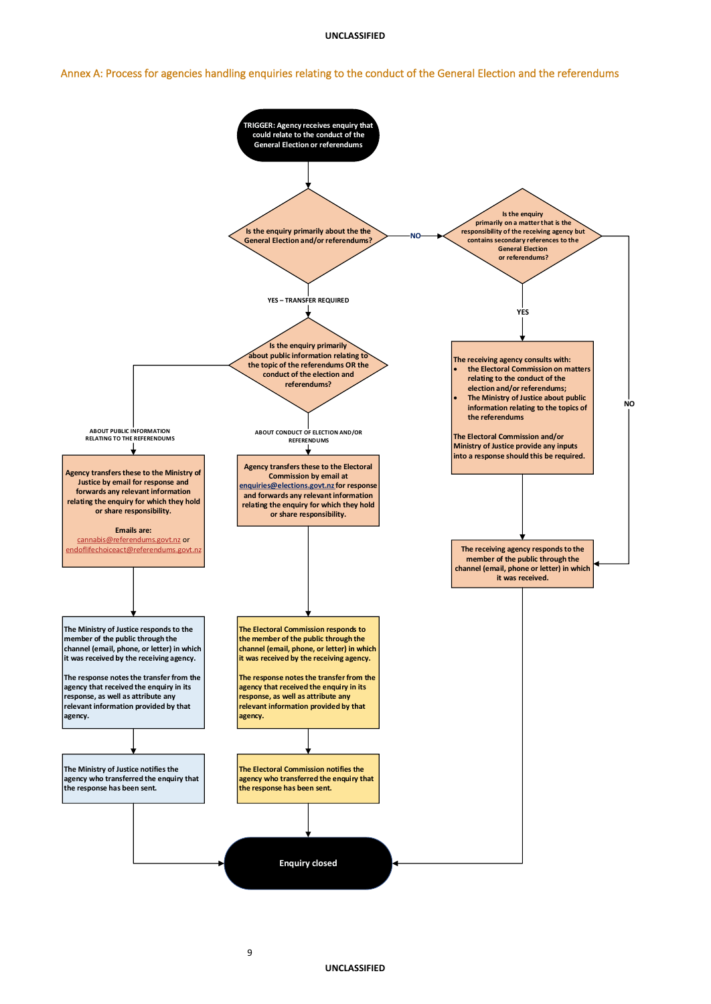9

Annex A: Process for agencies handling enquiries relating to the conduct of the General Election and the referendums



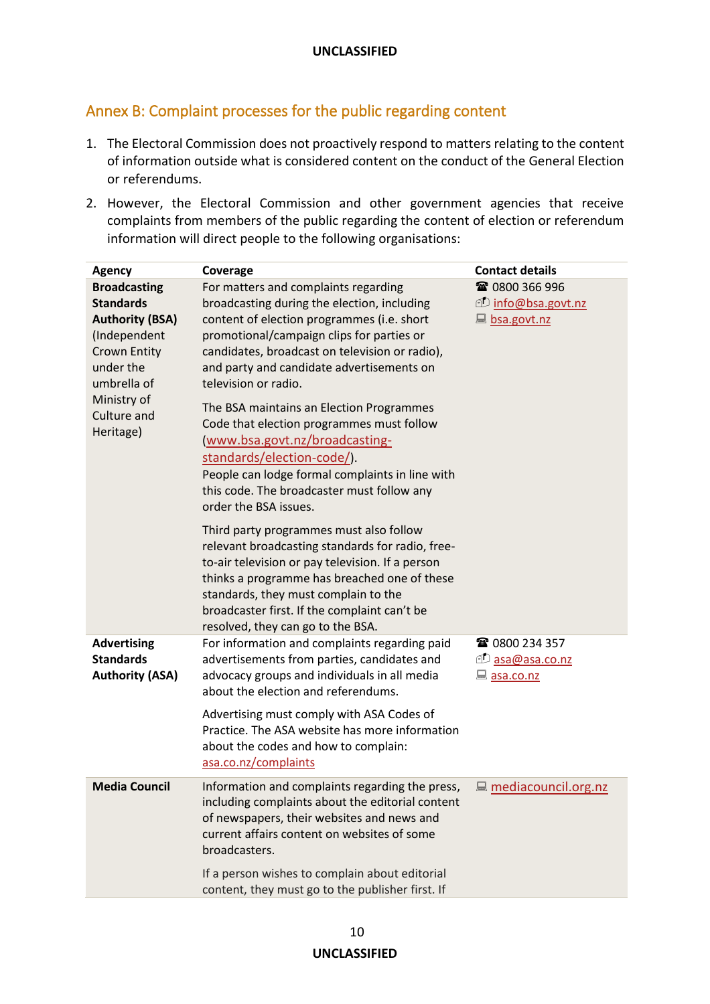### Annex B: Complaint processes for the public regarding content

- 1. The Electoral Commission does not proactively respond to matters relating to the content of information outside what is considered content on the conduct of the General Election or referendums.
- 2. However, the Electoral Commission and other government agencies that receive complaints from members of the public regarding the content of election or referendum information will direct people to the following organisations:

| <b>Agency</b>                                                                                                                                                                   | Coverage                                                                                                                                                                                                                                                                                                                                                                                                                                                                                                                                                                                 | <b>Contact details</b>                                                      |
|---------------------------------------------------------------------------------------------------------------------------------------------------------------------------------|------------------------------------------------------------------------------------------------------------------------------------------------------------------------------------------------------------------------------------------------------------------------------------------------------------------------------------------------------------------------------------------------------------------------------------------------------------------------------------------------------------------------------------------------------------------------------------------|-----------------------------------------------------------------------------|
| <b>Broadcasting</b><br><b>Standards</b><br><b>Authority (BSA)</b><br>(Independent<br><b>Crown Entity</b><br>under the<br>umbrella of<br>Ministry of<br>Culture and<br>Heritage) | For matters and complaints regarding<br>broadcasting during the election, including<br>content of election programmes (i.e. short<br>promotional/campaign clips for parties or<br>candidates, broadcast on television or radio),<br>and party and candidate advertisements on<br>television or radio.<br>The BSA maintains an Election Programmes<br>Code that election programmes must follow<br>(www.bsa.govt.nz/broadcasting-<br>standards/election-code/).<br>People can lodge formal complaints in line with<br>this code. The broadcaster must follow any<br>order the BSA issues. | ☎ 0800 366 996<br><u><i><b>D</b></i></u> info@bsa.govt.nz<br>La bsa.govt.nz |
|                                                                                                                                                                                 | Third party programmes must also follow<br>relevant broadcasting standards for radio, free-<br>to-air television or pay television. If a person<br>thinks a programme has breached one of these<br>standards, they must complain to the<br>broadcaster first. If the complaint can't be<br>resolved, they can go to the BSA.                                                                                                                                                                                                                                                             |                                                                             |
| <b>Advertising</b><br><b>Standards</b><br><b>Authority (ASA)</b>                                                                                                                | For information and complaints regarding paid<br>advertisements from parties, candidates and<br>advocacy groups and individuals in all media<br>about the election and referendums.<br>Advertising must comply with ASA Codes of<br>Practice. The ASA website has more information                                                                                                                                                                                                                                                                                                       | ☎ 0800 234 357<br><u>Dasa@asa.co.nz</u><br>asa.co.nz                        |
| <b>Media Council</b>                                                                                                                                                            | about the codes and how to complain:<br>asa.co.nz/complaints<br>Information and complaints regarding the press,                                                                                                                                                                                                                                                                                                                                                                                                                                                                          | <u>■ mediacouncil.org.nz</u>                                                |
|                                                                                                                                                                                 | including complaints about the editorial content<br>of newspapers, their websites and news and<br>current affairs content on websites of some<br>broadcasters.                                                                                                                                                                                                                                                                                                                                                                                                                           |                                                                             |
|                                                                                                                                                                                 | If a person wishes to complain about editorial<br>content, they must go to the publisher first. If                                                                                                                                                                                                                                                                                                                                                                                                                                                                                       |                                                                             |

#### **UNCLASSIFIED**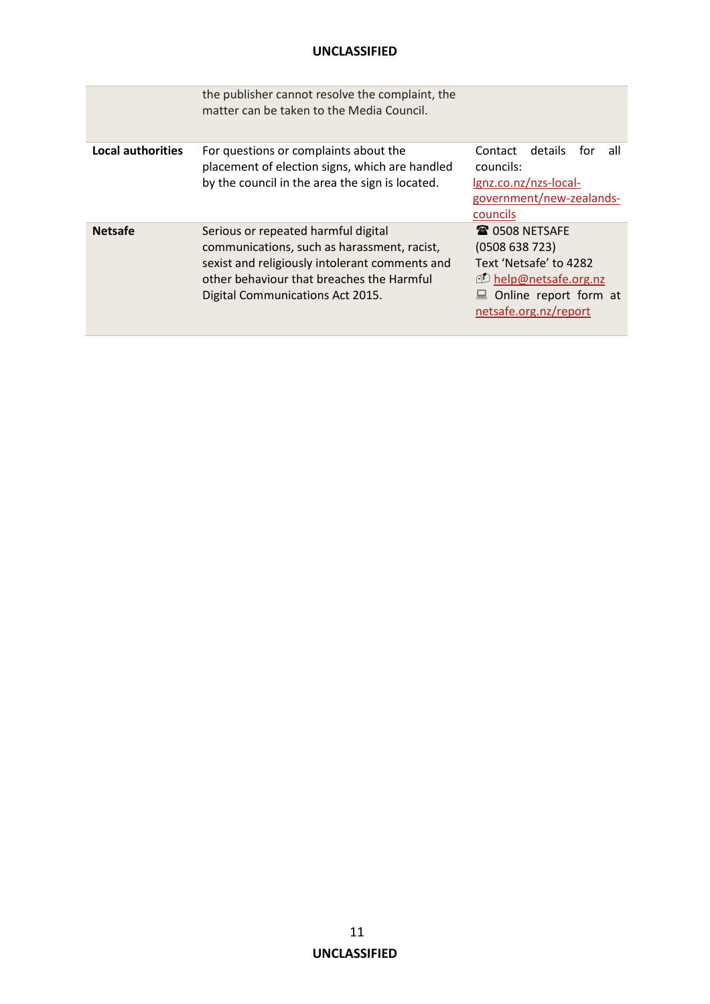|                          | the publisher cannot resolve the complaint, the<br>matter can be taken to the Media Council.                                                                                                                          |                                                                                                                                                          |
|--------------------------|-----------------------------------------------------------------------------------------------------------------------------------------------------------------------------------------------------------------------|----------------------------------------------------------------------------------------------------------------------------------------------------------|
| <b>Local authorities</b> | For questions or complaints about the<br>placement of election signs, which are handled<br>by the council in the area the sign is located.                                                                            | details<br>Contact<br>for<br>all<br>councils:<br>lgnz.co.nz/nzs-local-<br>government/new-zealands-<br>councils                                           |
| <b>Netsafe</b>           | Serious or repeated harmful digital<br>communications, such as harassment, racist,<br>sexist and religiously intolerant comments and<br>other behaviour that breaches the Harmful<br>Digital Communications Act 2015. | <b>雷 0508 NETSAFE</b><br>(0508638723)<br>Text 'Netsafe' to 4282<br><b>D</b> help@netsafe.org.nz<br>$\Box$ Online report form at<br>netsafe.org.nz/report |